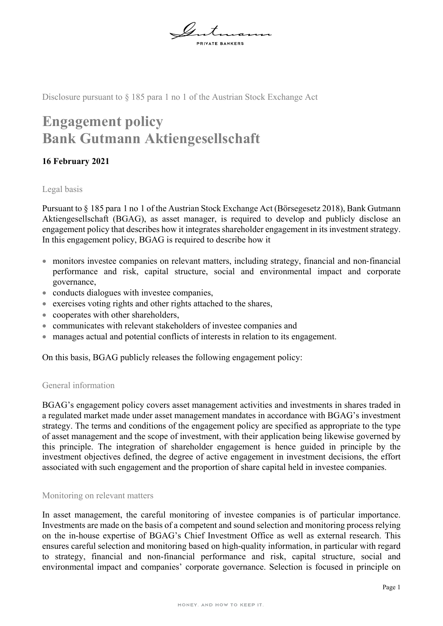

Disclosure pursuant to § 185 para 1 no 1 of the Austrian Stock Exchange Act

# **Engagement policy Bank Gutmann Aktiengesellschaft**

## **16 February 2021**

## Legal basis

Pursuant to § 185 para 1 no 1 of the Austrian Stock Exchange Act (Börsegesetz 2018), Bank Gutmann Aktiengesellschaft (BGAG), as asset manager, is required to develop and publicly disclose an engagement policy that describes how it integrates shareholder engagement in its investment strategy. In this engagement policy, BGAG is required to describe how it

- monitors investee companies on relevant matters, including strategy, financial and non-financial performance and risk, capital structure, social and environmental impact and corporate governance,
- conducts dialogues with investee companies,
- exercises voting rights and other rights attached to the shares,
- cooperates with other shareholders,
- communicates with relevant stakeholders of investee companies and
- manages actual and potential conflicts of interests in relation to its engagement.

On this basis, BGAG publicly releases the following engagement policy:

## General information

BGAG's engagement policy covers asset management activities and investments in shares traded in a regulated market made under asset management mandates in accordance with BGAG's investment strategy. The terms and conditions of the engagement policy are specified as appropriate to the type of asset management and the scope of investment, with their application being likewise governed by this principle. The integration of shareholder engagement is hence guided in principle by the investment objectives defined, the degree of active engagement in investment decisions, the effort associated with such engagement and the proportion of share capital held in investee companies.

### Monitoring on relevant matters

In asset management, the careful monitoring of investee companies is of particular importance. Investments are made on the basis of a competent and sound selection and monitoring process relying on the in-house expertise of BGAG's Chief Investment Office as well as external research. This ensures careful selection and monitoring based on high-quality information, in particular with regard to strategy, financial and non-financial performance and risk, capital structure, social and environmental impact and companies' corporate governance. Selection is focused in principle on